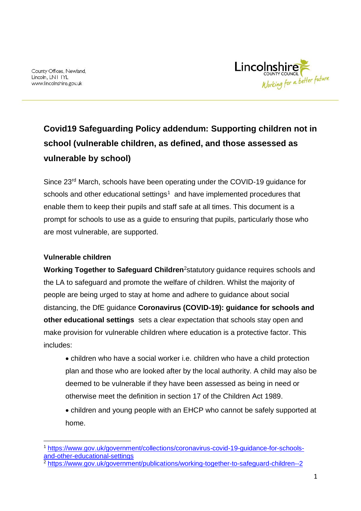County Offices, Newland, Lincoln, LN1 IYL www.lincolnshire.gov.uk



# **Covid19 Safeguarding Policy addendum: Supporting children not in school (vulnerable children, as defined, and those assessed as vulnerable by school)**

Since 23rd March, schools have been operating under the COVID-19 guidance for schools and other educational settings<sup>1</sup> and have implemented procedures that enable them to keep their pupils and staff safe at all times. This document is a prompt for schools to use as a guide to ensuring that pupils, particularly those who are most vulnerable, are supported.

## **Vulnerable children**

-

**Working Together to Safeguard Children**<sup>2</sup>statutory guidance requires schools and the LA to safeguard and promote the welfare of children. Whilst the majority of people are being urged to stay at home and adhere to guidance about social distancing, the DfE guidance **Coronavirus (COVID-19): guidance for schools and other educational settings** sets a clear expectation that schools stay open and make provision for vulnerable children where education is a protective factor. This includes:

- children who have a social worker i.e. children who have a child protection plan and those who are looked after by the local authority. A child may also be deemed to be vulnerable if they have been assessed as being in need or otherwise meet the definition in section 17 of the Children Act 1989.
- children and young people with an EHCP who cannot be safely supported at home.

<sup>1</sup> [https://www.gov.uk/government/collections/coronavirus-covid-19-guidance-for-schools](https://www.gov.uk/government/collections/coronavirus-covid-19-guidance-for-schools-and-other-educational-settings)[and-other-educational-settings](https://www.gov.uk/government/collections/coronavirus-covid-19-guidance-for-schools-and-other-educational-settings)

<sup>&</sup>lt;sup>2</sup> <https://www.gov.uk/government/publications/working-together-to-safeguard-children--2>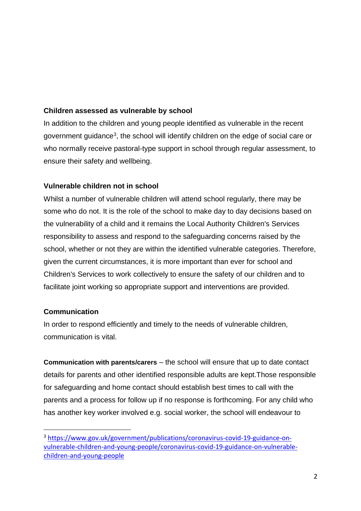## **Children assessed as vulnerable by school**

In addition to the children and young people identified as vulnerable in the recent government guidance<sup>3</sup>, the school will identify children on the edge of social care or who normally receive pastoral-type support in school through regular assessment, to ensure their safety and wellbeing.

### **Vulnerable children not in school**

Whilst a number of vulnerable children will attend school regularly, there may be some who do not. It is the role of the school to make day to day decisions based on the vulnerability of a child and it remains the Local Authority Children's Services responsibility to assess and respond to the safeguarding concerns raised by the school, whether or not they are within the identified vulnerable categories. Therefore, given the current circumstances, it is more important than ever for school and Children's Services to work collectively to ensure the safety of our children and to facilitate joint working so appropriate support and interventions are provided.

#### **Communication**

-

In order to respond efficiently and timely to the needs of vulnerable children, communication is vital.

**Communication with parents/carers** – the school will ensure that up to date contact details for parents and other identified responsible adults are kept.Those responsible for safeguarding and home contact should establish best times to call with the parents and a process for follow up if no response is forthcoming. For any child who has another key worker involved e.g. social worker, the school will endeavour to

<sup>3</sup> [https://www.gov.uk/government/publications/coronavirus-covid-19-guidance-on](https://www.gov.uk/government/publications/coronavirus-covid-19-guidance-on-vulnerable-children-and-young-people/coronavirus-covid-19-guidance-on-vulnerable-children-and-young-people)[vulnerable-children-and-young-people/coronavirus-covid-19-guidance-on-vulnerable](https://www.gov.uk/government/publications/coronavirus-covid-19-guidance-on-vulnerable-children-and-young-people/coronavirus-covid-19-guidance-on-vulnerable-children-and-young-people)[children-and-young-people](https://www.gov.uk/government/publications/coronavirus-covid-19-guidance-on-vulnerable-children-and-young-people/coronavirus-covid-19-guidance-on-vulnerable-children-and-young-people)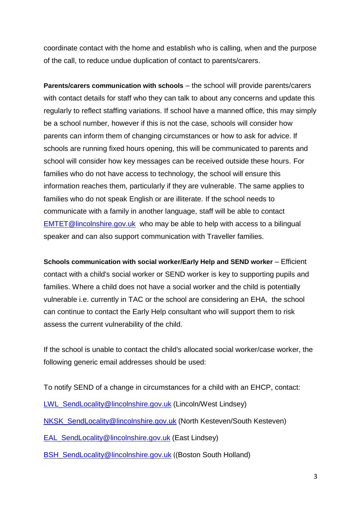coordinate contact with the home and establish who is calling, when and the purpose of the call, to reduce undue duplication of contact to parents/carers.

**Parents/carers communication with schools** – the school will provide parents/carers with contact details for staff who they can talk to about any concerns and update this regularly to reflect staffing variations. If school have a manned office, this may simply be a school number, however if this is not the case, schools will consider how parents can inform them of changing circumstances or how to ask for advice. If schools are running fixed hours opening, this will be communicated to parents and school will consider how key messages can be received outside these hours. For families who do not have access to technology, the school will ensure this information reaches them, particularly if they are vulnerable. The same applies to families who do not speak English or are illiterate. If the school needs to communicate with a family in another language, staff will be able to contact [EMTET@lincolnshire.gov.uk](mailto:EMTET@lincolnshire.gov.uk) who may be able to help with access to a bilingual speaker and can also support communication with Traveller families.

**Schools communication with social worker/Early Help and SEND worker** – Efficient contact with a child's social worker or SEND worker is key to supporting pupils and families. Where a child does not have a social worker and the child is potentially vulnerable i.e. currently in TAC or the school are considering an EHA, the school can continue to contact the Early Help consultant who will support them to risk assess the current vulnerability of the child.

If the school is unable to contact the child's allocated social worker/case worker, the following generic email addresses should be used:

To notify SEND of a change in circumstances for a child with an EHCP, contact:

[LWL\\_SendLocality@lincolnshire.gov.uk](mailto:LWL_SendLocality@lincolnshire.gov.uk) (Lincoln/West Lindsey)

[NKSK\\_SendLocality@lincolnshire.gov.uk](mailto:NKSK_SendLocality@lincolnshire.gov.uk) (North Kesteven/South Kesteven)

[EAL\\_SendLocality@lincolnshire.gov.uk](mailto:EAL_SendLocality@lincolnshire.gov.uk) (East Lindsey)

[BSH\\_SendLocality@lincolnshire.gov.uk](mailto:BSH_SendLocality@lincolnshire.gov.uk) ((Boston South Holland)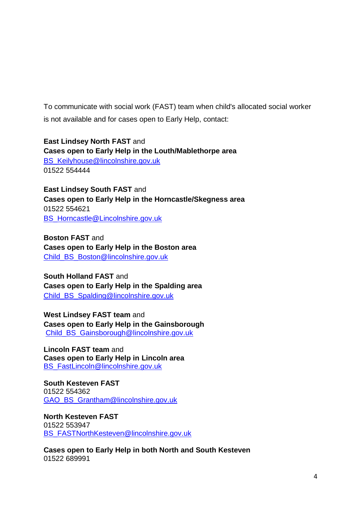To communicate with social work (FAST) team when child's allocated social worker is not available and for cases open to Early Help, contact:

**East Lindsey North FAST** and **Cases open to Early Help in the Louth/Mablethorpe area** [BS\\_Keilyhouse@lincolnshire.gov.uk](mailto:BS_Keilyhouse@lincolnshire.gov.uk) 01522 554444

**East Lindsey South FAST** and **Cases open to Early Help in the Horncastle/Skegness area**  01522 554621 [BS\\_Horncastle@Lincolnshire.gov.uk](mailto:BS_Horncastle@Lincolnshire.gov.uk)

**Boston FAST** and **Cases open to Early Help in the Boston area**  [Child\\_BS\\_Boston@lincolnshire.gov.uk](mailto:Child_BS_Boston@lincolnshire.gov.uk)

**South Holland FAST** and **Cases open to Early Help in the Spalding area** Child BS Spalding@lincolnshire.gov.uk

**West Lindsey FAST team** and **Cases open to Early Help in the Gainsborough**  [Child\\_BS\\_Gainsborough@lincolnshire.gov.uk](mailto:Child_BS_Gainsborough@lincolnshire.gov.uk)

**Lincoln FAST team** and **Cases open to Early Help in Lincoln area** [BS\\_FastLincoln@lincolnshire.gov.uk](mailto:BS_FastLincoln@lincolnshire.gov.uk)

**South Kesteven FAST**  01522 554362 [GAO\\_BS\\_Grantham@lincolnshire.gov.uk](mailto:GAO_BS_Grantham@lincolnshire.gov.uk)

**North Kesteven FAST** 01522 553947 [BS\\_FASTNorthKesteven@lincolnshire.gov.uk](mailto:BS_FASTNorthKesteven@lincolnshire.gov.uk)

**Cases open to Early Help in both North and South Kesteven** 01522 689991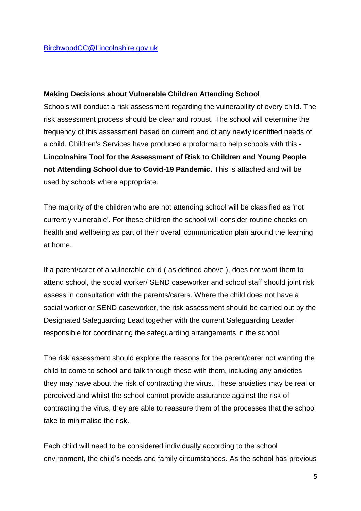#### **Making Decisions about Vulnerable Children Attending School**

Schools will conduct a risk assessment regarding the vulnerability of every child. The risk assessment process should be clear and robust. The school will determine the frequency of this assessment based on current and of any newly identified needs of a child. Children's Services have produced a proforma to help schools with this - **Lincolnshire Tool for the Assessment of Risk to Children and Young People not Attending School due to Covid-19 Pandemic.** This is attached and will be used by schools where appropriate.

The majority of the children who are not attending school will be classified as 'not currently vulnerable'. For these children the school will consider routine checks on health and wellbeing as part of their overall communication plan around the learning at home.

If a parent/carer of a vulnerable child ( as defined above ), does not want them to attend school, the social worker/ SEND caseworker and school staff should joint risk assess in consultation with the parents/carers. Where the child does not have a social worker or SEND caseworker, the risk assessment should be carried out by the Designated Safeguarding Lead together with the current Safeguarding Leader responsible for coordinating the safeguarding arrangements in the school.

The risk assessment should explore the reasons for the parent/carer not wanting the child to come to school and talk through these with them, including any anxieties they may have about the risk of contracting the virus. These anxieties may be real or perceived and whilst the school cannot provide assurance against the risk of contracting the virus, they are able to reassure them of the processes that the school take to minimalise the risk.

Each child will need to be considered individually according to the school environment, the child's needs and family circumstances. As the school has previous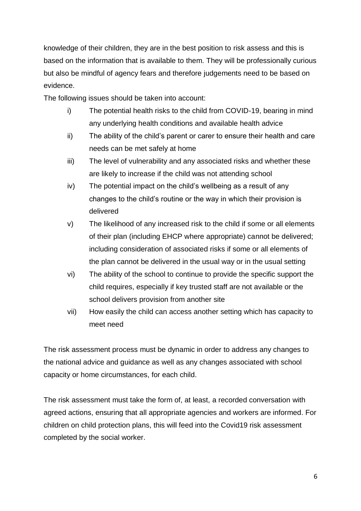knowledge of their children, they are in the best position to risk assess and this is based on the information that is available to them. They will be professionally curious but also be mindful of agency fears and therefore judgements need to be based on evidence.

The following issues should be taken into account:

- i) The potential health risks to the child from COVID-19, bearing in mind any underlying health conditions and available health advice
- ii) The ability of the child's parent or carer to ensure their health and care needs can be met safely at home
- iii) The level of vulnerability and any associated risks and whether these are likely to increase if the child was not attending school
- iv) The potential impact on the child's wellbeing as a result of any changes to the child's routine or the way in which their provision is delivered
- v) The likelihood of any increased risk to the child if some or all elements of their plan (including EHCP where appropriate) cannot be delivered; including consideration of associated risks if some or all elements of the plan cannot be delivered in the usual way or in the usual setting
- vi) The ability of the school to continue to provide the specific support the child requires, especially if key trusted staff are not available or the school delivers provision from another site
- vii) How easily the child can access another setting which has capacity to meet need

The risk assessment process must be dynamic in order to address any changes to the national advice and guidance as well as any changes associated with school capacity or home circumstances, for each child.

The risk assessment must take the form of, at least, a recorded conversation with agreed actions, ensuring that all appropriate agencies and workers are informed. For children on child protection plans, this will feed into the Covid19 risk assessment completed by the social worker.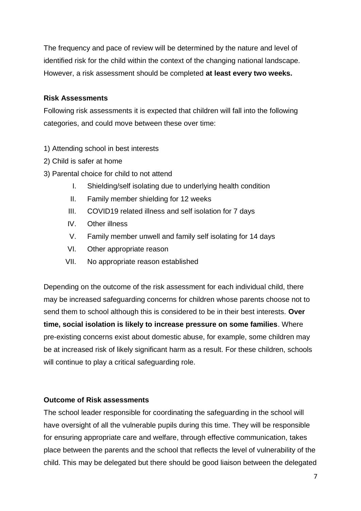The frequency and pace of review will be determined by the nature and level of identified risk for the child within the context of the changing national landscape. However, a risk assessment should be completed **at least every two weeks.**

#### **Risk Assessments**

Following risk assessments it is expected that children will fall into the following categories, and could move between these over time:

- 1) Attending school in best interests
- 2) Child is safer at home
- 3) Parental choice for child to not attend
	- I. Shielding/self isolating due to underlying health condition
	- II. Family member shielding for 12 weeks
	- III. COVID19 related illness and self isolation for 7 days
	- IV. Other illness
	- V. Family member unwell and family self isolating for 14 days
	- VI. Other appropriate reason
	- VII. No appropriate reason established

Depending on the outcome of the risk assessment for each individual child, there may be increased safeguarding concerns for children whose parents choose not to send them to school although this is considered to be in their best interests. **Over time, social isolation is likely to increase pressure on some families**. Where pre-existing concerns exist about domestic abuse, for example, some children may be at increased risk of likely significant harm as a result. For these children, schools will continue to play a critical safeguarding role.

#### **Outcome of Risk assessments**

The school leader responsible for coordinating the safeguarding in the school will have oversight of all the vulnerable pupils during this time. They will be responsible for ensuring appropriate care and welfare, through effective communication, takes place between the parents and the school that reflects the level of vulnerability of the child. This may be delegated but there should be good liaison between the delegated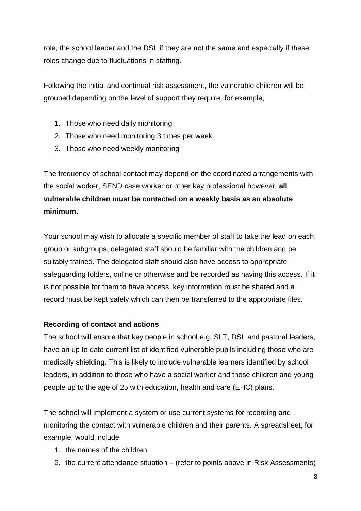role, the school leader and the DSL if they are not the same and especially if these roles change due to fluctuations in staffing.

Following the initial and continual risk assessment, the vulnerable children will be grouped depending on the level of support they require, for example,

- 1. Those who need daily monitoring
- 2. Those who need monitoring 3 times per week
- 3. Those who need weekly monitoring

The frequency of school contact may depend on the coordinated arrangements with the social worker, SEND case worker or other key professional however, **all vulnerable children must be contacted on a weekly basis as an absolute minimum.**

Your school may wish to allocate a specific member of staff to take the lead on each group or subgroups, delegated staff should be familiar with the children and be suitably trained. The delegated staff should also have access to appropriate safeguarding folders, online or otherwise and be recorded as having this access. If it is not possible for them to have access, key information must be shared and a record must be kept safely which can then be transferred to the appropriate files.

# **Recording of contact and actions**

The school will ensure that key people in school e.g. SLT, DSL and pastoral leaders, have an up to date current list of identified vulnerable pupils including those who are medically shielding. This is likely to include vulnerable learners identified by school leaders, in addition to those who have a social worker and those children and young people up to the age of 25 with education, health and care (EHC) plans.

The school will implement a system or use current systems for recording and monitoring the contact with vulnerable children and their parents. A spreadsheet, for example, would include

- 1. the names of the children
- 2. the current attendance situation (refer to points above in Risk Assessments)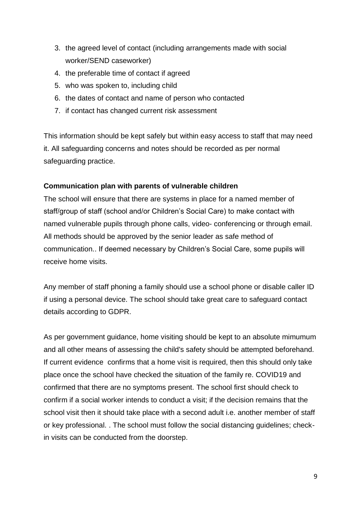- 3. the agreed level of contact (including arrangements made with social worker/SEND caseworker)
- 4. the preferable time of contact if agreed
- 5. who was spoken to, including child
- 6. the dates of contact and name of person who contacted
- 7. if contact has changed current risk assessment

This information should be kept safely but within easy access to staff that may need it. All safeguarding concerns and notes should be recorded as per normal safeguarding practice.

## **Communication plan with parents of vulnerable children**

The school will ensure that there are systems in place for a named member of staff/group of staff (school and/or Children's Social Care) to make contact with named vulnerable pupils through phone calls, video- conferencing or through email. All methods should be approved by the senior leader as safe method of communication.. If deemed necessary by Children's Social Care, some pupils will receive home visits.

Any member of staff phoning a family should use a school phone or disable caller ID if using a personal device. The school should take great care to safeguard contact details according to GDPR.

As per government guidance, home visiting should be kept to an absolute mimumum and all other means of assessing the child's safety should be attempted beforehand. If current evidence confirms that a home visit is required, then this should only take place once the school have checked the situation of the family re. COVID19 and confirmed that there are no symptoms present. The school first should check to confirm if a social worker intends to conduct a visit; if the decision remains that the school visit then it should take place with a second adult i.e. another member of staff or key professional. . The school must follow the social distancing guidelines; checkin visits can be conducted from the doorstep.